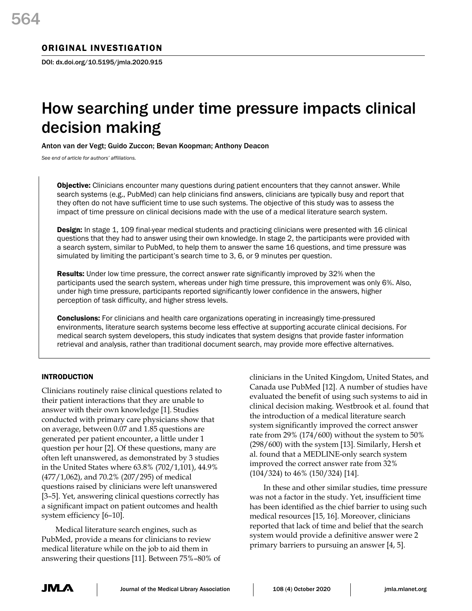# How searching under time pressure impacts clinical decision making

Anton van der Vegt; Guido Zuccon; Bevan Koopman; Anthony Deacon

*See end of article for authors' affiliations.*

Objective: Clinicians encounter many questions during patient encounters that they cannot answer. While search systems (e.g., PubMed) can help clinicians find answers, clinicians are typically busy and report that they often do not have sufficient time to use such systems. The objective of this study was to assess the impact of time pressure on clinical decisions made with the use of a medical literature search system.

**Design:** In stage 1, 109 final-year medical students and practicing clinicians were presented with 16 clinical questions that they had to answer using their own knowledge. In stage 2, the participants were provided with a search system, similar to PubMed, to help them to answer the same 16 questions, and time pressure was simulated by limiting the participant's search time to 3, 6, or 9 minutes per question.

**Results:** Under low time pressure, the correct answer rate significantly improved by 32% when the participants used the search system, whereas under high time pressure, this improvement was only 6%. Also, under high time pressure, participants reported significantly lower confidence in the answers, higher perception of task difficulty, and higher stress levels.

Conclusions: For clinicians and health care organizations operating in increasingly time-pressured environments, literature search systems become less effective at supporting accurate clinical decisions. For medical search system developers, this study indicates that system designs that provide faster information retrieval and analysis, rather than traditional document search, may provide more effective alternatives.

# INTRODUCTION

Clinicians routinely raise clinical questions related to their patient interactions that they are unable to answer with their own knowledge [1]. Studies conducted with primary care physicians show that on average, between 0.07 and 1.85 questions are generated per patient encounter, a little under 1 question per hour [2]. Of these questions, many are often left unanswered, as demonstrated by 3 studies in the United States where 63.8% (702/1,101), 44.9% (477/1,062), and 70.2% (207/295) of medical questions raised by clinicians were left unanswered [3–5]. Yet, answering clinical questions correctly has a significant impact on patient outcomes and health system efficiency [6–10].

Medical literature search engines, such as PubMed, provide a means for clinicians to review medical literature while on the job to aid them in answering their questions [11]. Between 75%–80% of

clinicians in the United Kingdom, United States, and Canada use PubMed [12]. A number of studies have evaluated the benefit of using such systems to aid in clinical decision making. Westbrook et al. found that the introduction of a medical literature search system significantly improved the correct answer rate from 29% (174/600) without the system to 50% (298/600) with the system [13]. Similarly, Hersh et al. found that a MEDLINE-only search system improved the correct answer rate from 32% (104/324) to 46% (150/324) [14].

In these and other similar studies, time pressure was not a factor in the study. Yet, insufficient time has been identified as the chief barrier to using such medical resources [15, 16]. Moreover, clinicians reported that lack of time and belief that the search system would provide a definitive answer were 2 primary barriers to pursuing an answer [4, 5].

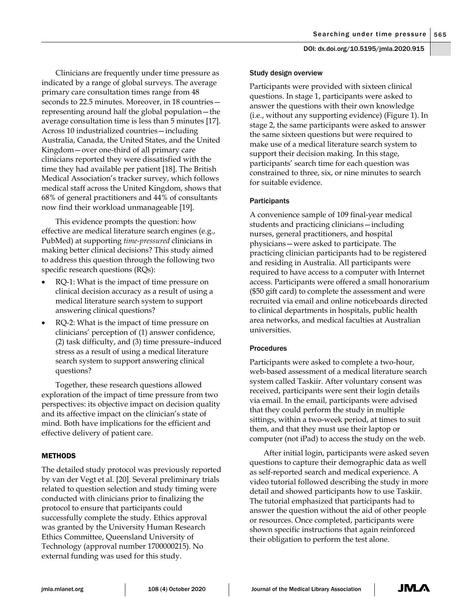Clinicians are frequently under time pressure as indicated by a range of global surveys. The average primary care consultation times range from 48 seconds to 22.5 minutes. Moreover, in 18 countries representing around half the global population—the average consultation time is less than 5 minutes [17]. Across 10 industrialized countries—including Australia, Canada, the United States, and the United Kingdom—over one-third of all primary care clinicians reported they were dissatisfied with the time they had available per patient [18]. The British Medical Association's tracker survey, which follows medical staff across the United Kingdom, shows that 68% of general practitioners and 44% of consultants now find their workload unmanageable [19].

This evidence prompts the question: how effective are medical literature search engines (e.g., PubMed) at supporting *time-pressured* clinicians in making better clinical decisions? This study aimed to address this question through the following two specific research questions (RQs):

- RQ-1: What is the impact of time pressure on clinical decision accuracy as a result of using a medical literature search system to support answering clinical questions?
- RQ-2: What is the impact of time pressure on clinicians' perception of (1) answer confidence, (2) task difficulty, and (3) time pressure–induced stress as a result of using a medical literature search system to support answering clinical questions?

Together, these research questions allowed exploration of the impact of time pressure from two perspectives: its objective impact on decision quality and its affective impact on the clinician's state of mind. Both have implications for the efficient and effective delivery of patient care.

# METHODS

The detailed study protocol was previously reported by van der Vegt et al. [20]. Several preliminary trials related to question selection and study timing were conducted with clinicians prior to finalizing the protocol to ensure that participants could successfully complete the study. Ethics approval was granted by the University Human Research Ethics Committee, Queensland University of Technology (approval number 1700000215). No external funding was used for this study.

## Study design overview

Participants were provided with sixteen clinical questions. In stage 1, participants were asked to answer the questions with their own knowledge (i.e., without any supporting evidence) (Figure 1). In stage 2, the same participants were asked to answer the same sixteen questions but were required to make use of a medical literature search system to support their decision making. In this stage, participants' search time for each question was constrained to three, six, or nine minutes to search for suitable evidence.

# **Participants**

A convenience sample of 109 final-year medical students and practicing clinicians—including nurses, general practitioners, and hospital physicians—were asked to participate. The practicing clinician participants had to be registered and residing in Australia. All participants were required to have access to a computer with Internet access. Participants were offered a small honorarium (\$50 gift card) to complete the assessment and were recruited via email and online noticeboards directed to clinical departments in hospitals, public health area networks, and medical faculties at Australian universities.

## Procedures

Participants were asked to complete a two-hour, web-based assessment of a medical literature search system called Taskiir. After voluntary consent was received, participants were sent their login details via email. In the email, participants were advised that they could perform the study in multiple sittings, within a two-week period, at times to suit them, and that they must use their laptop or computer (not iPad) to access the study on the web.

After initial login, participants were asked seven questions to capture their demographic data as well as self-reported search and medical experience. A video tutorial followed describing the study in more detail and showed participants how to use Taskiir. The tutorial emphasized that participants had to answer the question without the aid of other people or resources. Once completed, participants were shown specific instructions that again reinforced their obligation to perform the test alone.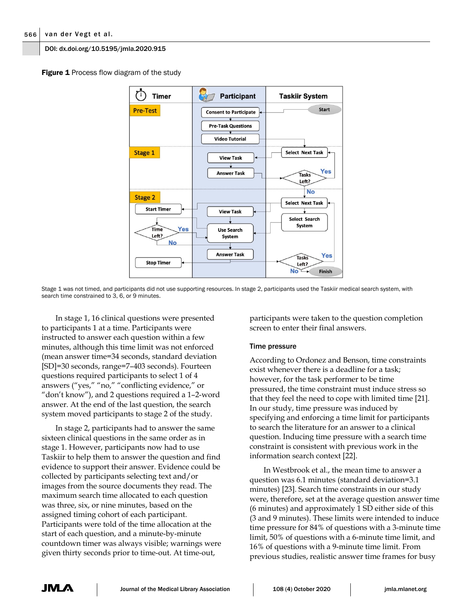**Figure 1** Process flow diagram of the study



Stage 1 was not timed, and participants did not use supporting resources. In stage 2, participants used the Taskiir medical search system, with search time constrained to 3, 6, or 9 minutes.

In stage 1, 16 clinical questions were presented to participants 1 at a time. Participants were instructed to answer each question within a few minutes, although this time limit was not enforced (mean answer time=34 seconds, standard deviation [SD]=30 seconds, range=7–403 seconds). Fourteen questions required participants to select 1 of 4 answers ("yes," "no," "conflicting evidence," or "don't know"), and 2 questions required a 1–2-word answer. At the end of the last question, the search system moved participants to stage 2 of the study.

In stage 2, participants had to answer the same sixteen clinical questions in the same order as in stage 1. However, participants now had to use Taskiir to help them to answer the question and find evidence to support their answer. Evidence could be collected by participants selecting text and/or images from the source documents they read. The maximum search time allocated to each question was three, six, or nine minutes, based on the assigned timing cohort of each participant. Participants were told of the time allocation at the start of each question, and a minute-by-minute countdown timer was always visible; warnings were given thirty seconds prior to time-out. At time-out,

participants were taken to the question completion screen to enter their final answers.

# Time pressure

According to Ordonez and Benson, time constraints exist whenever there is a deadline for a task; however, for the task performer to be time pressured, the time constraint must induce stress so that they feel the need to cope with limited time [21]. In our study, time pressure was induced by specifying and enforcing a time limit for participants to search the literature for an answer to a clinical question. Inducing time pressure with a search time constraint is consistent with previous work in the information search context [22].

In Westbrook et al., the mean time to answer a question was 6.1 minutes (standard deviation=3.1 minutes) [23]. Search time constraints in our study were, therefore, set at the average question answer time (6 minutes) and approximately 1 SD either side of this (3 and 9 minutes). These limits were intended to induce time pressure for 84% of questions with a 3-minute time limit, 50% of questions with a 6-minute time limit, and 16% of questions with a 9-minute time limit. From previous studies, realistic answer time frames for busy

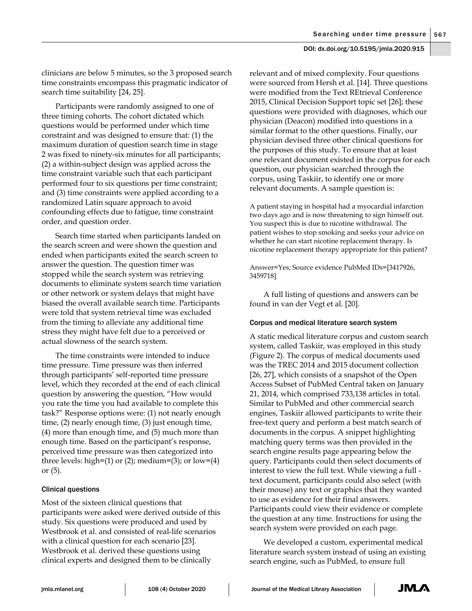clinicians are below 5 minutes, so the 3 proposed search time constraints encompass this pragmatic indicator of search time suitability [24, 25].

Participants were randomly assigned to one of three timing cohorts. The cohort dictated which questions would be performed under which time constraint and was designed to ensure that: (1) the maximum duration of question search time in stage 2 was fixed to ninety-six minutes for all participants; (2) a within-subject design was applied across the time constraint variable such that each participant performed four to six questions per time constraint; and (3) time constraints were applied according to a randomized Latin square approach to avoid confounding effects due to fatigue, time constraint order, and question order.

Search time started when participants landed on the search screen and were shown the question and ended when participants exited the search screen to answer the question. The question timer was stopped while the search system was retrieving documents to eliminate system search time variation or other network or system delays that might have biased the overall available search time. Participants were told that system retrieval time was excluded from the timing to alleviate any additional time stress they might have felt due to a perceived or actual slowness of the search system.

The time constraints were intended to induce time pressure. Time pressure was then inferred through participants' self-reported time pressure level, which they recorded at the end of each clinical question by answering the question, "How would you rate the time you had available to complete this task?" Response options were: (1) not nearly enough time, (2) nearly enough time, (3) just enough time, (4) more than enough time, and (5) much more than enough time. Based on the participant's response, perceived time pressure was then categorized into three levels: high= $(1)$  or  $(2)$ ; medium= $(3)$ ; or low= $(4)$ or (5).

#### Clinical questions

Most of the sixteen clinical questions that participants were asked were derived outside of this study. Six questions were produced and used by Westbrook et al. and consisted of real-life scenarios with a clinical question for each scenario [23]. Westbrook et al. derived these questions using clinical experts and designed them to be clinically

relevant and of mixed complexity. Four questions were sourced from Hersh et al. [14]. Three questions were modified from the Text REtrieval Conference 2015, Clinical Decision Support topic set [26]; these questions were provided with diagnoses, which our physician (Deacon) modified into questions in a similar format to the other questions. Finally, our physician devised three other clinical questions for the purposes of this study. To ensure that at least one relevant document existed in the corpus for each question, our physician searched through the corpus, using Taskiir, to identify one or more relevant documents. A sample question is:

A patient staying in hospital had a myocardial infarction two days ago and is now threatening to sign himself out. You suspect this is due to nicotine withdrawal. The patient wishes to stop smoking and seeks your advice on whether he can start nicotine replacement therapy. Is nicotine replacement therapy appropriate for this patient?

Answer=Yes; Source evidence PubMed IDs=[3417926, 3459718]

A full listing of questions and answers can be found in van der Vegt et al. [20].

#### Corpus and medical literature search system

A static medical literature corpus and custom search system, called Taskiir, was employed in this study (Figure 2). The corpus of medical documents used was the TREC 2014 and 2015 document collection [26, 27], which consists of a snapshot of the Open Access Subset of PubMed Central taken on January 21, 2014, which comprised 733,138 articles in total. Similar to PubMed and other commercial search engines, Taskiir allowed participants to write their free-text query and perform a best match search of documents in the corpus. A snippet highlighting matching query terms was then provided in the search engine results page appearing below the query. Participants could then select documents of interest to view the full text. While viewing a full text document, participants could also select (with their mouse) any text or graphics that they wanted to use as evidence for their final answers. Participants could view their evidence or complete the question at any time. Instructions for using the search system were provided on each page.

We developed a custom, experimental medical literature search system instead of using an existing search engine, such as PubMed, to ensure full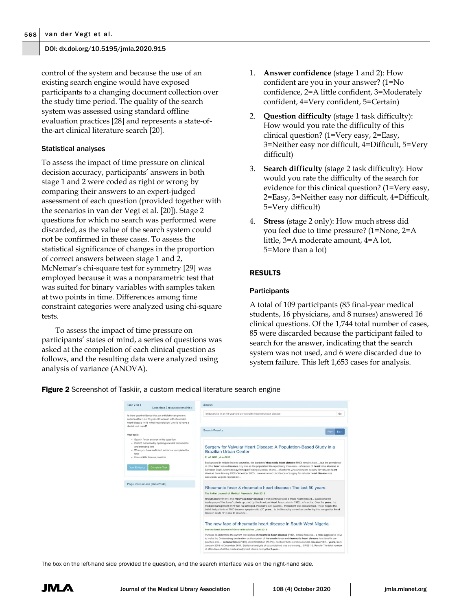control of the system and because the use of an existing search engine would have exposed participants to a changing document collection over the study time period. The quality of the search system was assessed using standard offline evaluation practices [28] and represents a state-ofthe-art clinical literature search [20].

#### Statistical analyses

To assess the impact of time pressure on clinical decision accuracy, participants' answers in both stage 1 and 2 were coded as right or wrong by comparing their answers to an expert-judged assessment of each question (provided together with the scenarios in van der Vegt et al. [20]). Stage 2 questions for which no search was performed were discarded, as the value of the search system could not be confirmed in these cases. To assess the statistical significance of changes in the proportion of correct answers between stage 1 and 2, McNemar's chi-square test for symmetry [29] was employed because it was a nonparametric test that was suited for binary variables with samples taken at two points in time. Differences among time constraint categories were analyzed using chi-square tests.

To assess the impact of time pressure on participants' states of mind, a series of questions was asked at the completion of each clinical question as follows, and the resulting data were analyzed using analysis of variance (ANOVA).

- 1. **Answer confidence** (stage 1 and 2): How confident are you in your answer? (1=No confidence, 2=A little confident, 3=Moderately confident, 4=Very confident, 5=Certain)
- 2. **Question difficulty** (stage 1 task difficulty): How would you rate the difficulty of this clinical question? (1=Very easy, 2=Easy, 3=Neither easy nor difficult, 4=Difficult, 5=Very difficult)
- 3. **Search difficulty** (stage 2 task difficulty): How would you rate the difficulty of the search for evidence for this clinical question? (1=Very easy, 2=Easy, 3=Neither easy nor difficult, 4=Difficult, 5=Very difficult)
- 4. **Stress** (stage 2 only): How much stress did you feel due to time pressure? (1=None, 2=A little, 3=A moderate amount, 4=A lot, 5=More than a lot)

# RESULTS

## **Participants**

A total of 109 participants (85 final-year medical students, 16 physicians, and 8 nurses) answered 16 clinical questions. Of the 1,744 total number of cases, 85 were discarded because the participant failed to search for the answer, indicating that the search system was not used, and 6 were discarded due to system failure. This left 1,653 cases for analysis.

**Figure 2** Screenshot of Taskiir, a custom medical literature search engine

| Task 3 of 3<br>Less than 3 minutes remaining                                                                                                                                                                       | Search                                                                                                                                                                                                                                                                                                                                                                                                                                                                                                                  |  |  |  |  |  |
|--------------------------------------------------------------------------------------------------------------------------------------------------------------------------------------------------------------------|-------------------------------------------------------------------------------------------------------------------------------------------------------------------------------------------------------------------------------------------------------------------------------------------------------------------------------------------------------------------------------------------------------------------------------------------------------------------------------------------------------------------------|--|--|--|--|--|
| Is there good evidence that an antibiotic can prevent<br>endocarditis in an 18-year-old woman with rheumatic<br>heart disease (mild mitral requrgitation) who is to have a<br>dental root canal?                   | endocarditis in an 18-year-old woman with rheumatic heart disease<br>Go!                                                                                                                                                                                                                                                                                                                                                                                                                                                |  |  |  |  |  |
|                                                                                                                                                                                                                    | <b>Search Results</b><br>Prev<br>Next                                                                                                                                                                                                                                                                                                                                                                                                                                                                                   |  |  |  |  |  |
| Your task:                                                                                                                                                                                                         |                                                                                                                                                                                                                                                                                                                                                                                                                                                                                                                         |  |  |  |  |  |
| · Search for an answer to this question<br>- Collect evidence by opening relevant documents<br>and selecting text<br>· When you have sufficient evidence, complete the<br>task<br>· Use as little time as possible | Surgery for Valvular Heart Disease: A Population-Based Study in a<br><b>Brazilian Urban Center</b><br>PLoS ONE, Jun-2012                                                                                                                                                                                                                                                                                                                                                                                                |  |  |  |  |  |
| <b>Complete Task</b><br><b>Your Evidence</b>                                                                                                                                                                       | Background In middle income countries, the burden of rheumatic heart disease (RHD) remains high, but the prevalence<br>of other heart valve diseases may rise as the population life expectancy increases of causes of heart valve disease in<br>Salvador, Brazil. Methodology/Principal Findings Medical charts of patients who underwent surgery for valvular heart<br>disease from January 2002-December 2005 were reviewed. Incidence of surgery for valvular heart disease was<br>calculated, Logistic regression  |  |  |  |  |  |
| Page Instructions (show/hide)                                                                                                                                                                                      | Rheumatic fever & rheumatic heart disease: The last 50 years                                                                                                                                                                                                                                                                                                                                                                                                                                                            |  |  |  |  |  |
|                                                                                                                                                                                                                    | The Indian Journal of Medical Research, Feb-2013                                                                                                                                                                                                                                                                                                                                                                                                                                                                        |  |  |  |  |  |
|                                                                                                                                                                                                                    | Rheumatic fever (RF) and rheumatic heart disease (RHD) continue to be a major health hazard suggesting the<br>inadequacy of the Jones' criteria updated by the American Heart Association in 1992 of carditis. Over the years, the<br>medical management of RF has not changed. Paediatric and iuvenile treatement was documented. These negate the<br>belief that patients of RHD become symptomatic ≥20 years to be life saving as well as confirming that congestive heart<br>failure in acute RF is due to an acute |  |  |  |  |  |
|                                                                                                                                                                                                                    | The new face of rheumatic heart disease in South West Nigeria                                                                                                                                                                                                                                                                                                                                                                                                                                                           |  |  |  |  |  |
|                                                                                                                                                                                                                    | International Journal of General Medicine, Jun-2013                                                                                                                                                                                                                                                                                                                                                                                                                                                                     |  |  |  |  |  |
|                                                                                                                                                                                                                    | Purpose To determine the current prevalence of rheumatic heart disease (RHD), clinical features a more aggressive drive                                                                                                                                                                                                                                                                                                                                                                                                 |  |  |  |  |  |

The box on the left-hand side provided the question, and the search interface was on the right-hand side.

JML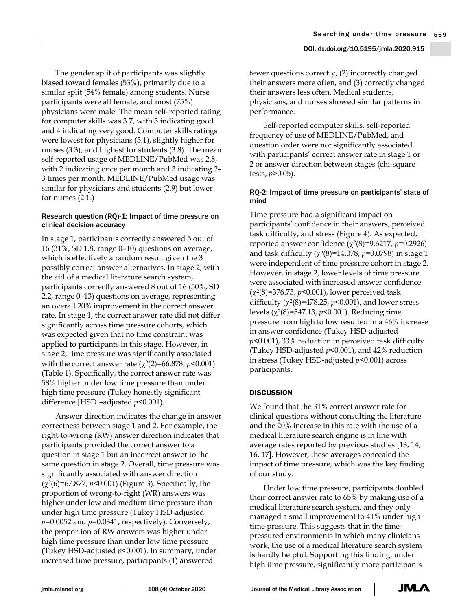The gender split of participants was slightly biased toward females (53%), primarily due to a similar split (54% female) among students. Nurse participants were all female, and most (75%) physicians were male. The mean self-reported rating for computer skills was 3.7, with 3 indicating good and 4 indicating very good. Computer skills ratings were lowest for physicians (3.1), slightly higher for nurses (3.3), and highest for students (3.8). The mean self-reported usage of MEDLINE/PubMed was 2.8, with 2 indicating once per month and 3 indicating 2– 3 times per month. MEDLINE/PubMed usage was similar for physicians and students (2.9) but lower for nurses (2.1.)

# Research question (RQ)-1: Impact of time pressure on clinical decision accuracy

In stage 1, participants correctly answered 5 out of 16 (31%, SD 1.8, range 0–10) questions on average, which is effectively a random result given the 3 possibly correct answer alternatives. In stage 2, with the aid of a medical literature search system, participants correctly answered 8 out of 16 (50%, SD 2.2, range 0–13) questions on average, representing an overall 20% improvement in the correct answer rate. In stage 1, the correct answer rate did not differ significantly across time pressure cohorts, which was expected given that no time constraint was applied to participants in this stage. However, in stage 2, time pressure was significantly associated with the correct answer rate (χ2(2)=66.878, *p<*0.001) (Table 1). Specifically, the correct answer rate was 58% higher under low time pressure than under high time pressure (Tukey honestly significant difference [HSD]–adjusted *p<*0.001).

Answer direction indicates the change in answer correctness between stage 1 and 2. For example, the right-to-wrong (RW) answer direction indicates that participants provided the correct answer to a question in stage 1 but an incorrect answer to the same question in stage 2. Overall, time pressure was significantly associated with answer direction (χ2(6)=67.877, *p*<0.001) (Figure 3). Specifically, the proportion of wrong-to-right (WR) answers was higher under low and medium time pressure than under high time pressure (Tukey HSD-adjusted *p=*0.0052 and *p=*0.0341, respectively). Conversely, the proportion of RW answers was higher under high time pressure than under low time pressure (Tukey HSD-adjusted *p<*0.001). In summary, under increased time pressure, participants (1) answered

fewer questions correctly, (2) incorrectly changed their answers more often, and (3) correctly changed their answers less often. Medical students, physicians, and nurses showed similar patterns in performance.

Self-reported computer skills, self-reported frequency of use of MEDLINE/PubMed, and question order were not significantly associated with participants' correct answer rate in stage 1 or 2 or answer direction between stages (chi-square tests, *p*>0.05).

# RQ-2: Impact of time pressure on participants' state of mind

Time pressure had a significant impact on participants' confidence in their answers, perceived task difficulty, and stress (Figure 4). As expected, reported answer confidence (χ2(8)=9.6217, *p*=0.2926) and task difficulty (χ2(8)=14.078, *p*=0.0798) in stage 1 were independent of time pressure cohort in stage 2. However, in stage 2, lower levels of time pressure were associated with increased answer confidence (χ2(8)=376.73, *p*<0.001), lower perceived task difficulty  $(\chi^2(8)=478.25, p<0.001)$ , and lower stress levels (χ2(8)=547.13, *p*<0.001). Reducing time pressure from high to low resulted in a 46% increase in answer confidence (Tukey HSD-adjusted *p<*0.001), 33% reduction in perceived task difficulty (Tukey HSD-adjusted *p<*0.001), and 42% reduction in stress (Tukey HSD-adjusted *p<*0.001) across participants.

# **DISCUSSION**

We found that the 31% correct answer rate for clinical questions without consulting the literature and the 20% increase in this rate with the use of a medical literature search engine is in line with average rates reported by previous studies [13, 14, 16, 17]. However, these averages concealed the impact of time pressure, which was the key finding of our study.

Under low time pressure, participants doubled their correct answer rate to 65% by making use of a medical literature search system, and they only managed a small improvement to 41% under high time pressure. This suggests that in the timepressured environments in which many clinicians work, the use of a medical literature search system is hardly helpful. Supporting this finding, under high time pressure, significantly more participants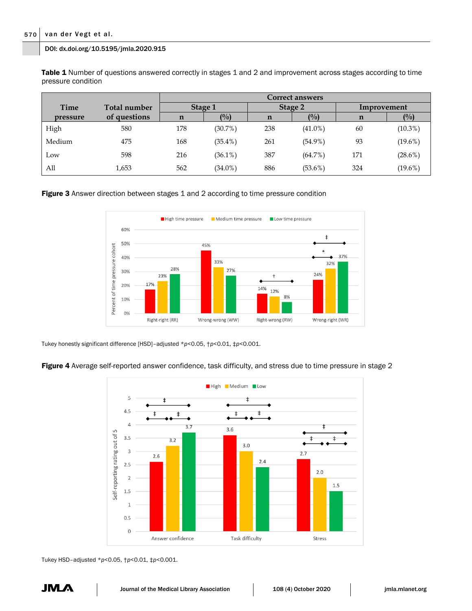Table 1 Number of questions answered correctly in stages 1 and 2 and improvement across stages according to time pressure condition

|          |              | <b>Correct answers</b> |            |         |            |             |            |  |
|----------|--------------|------------------------|------------|---------|------------|-------------|------------|--|
| Time     | Total number | Stage 1                |            | Stage 2 |            | Improvement |            |  |
| pressure | of questions | n                      | $($ %)     | n       | (9/0)      | n           | $($ %)     |  |
| High     | 580          | 178                    | $(30.7\%)$ | 238     | $(41.0\%)$ | 60          | $(10.3\%)$ |  |
| Medium   | 475          | 168                    | $(35.4\%)$ | 261     | $(54.9\%)$ | 93          | $(19.6\%)$ |  |
| Low      | 598          | 216                    | $(36.1\%)$ | 387     | $(64.7\%)$ | 171         | $(28.6\%)$ |  |
| All      | 1,653        | 562                    | $(34.0\%)$ | 886     | $(53.6\%)$ | 324         | $(19.6\%)$ |  |

Figure 3 Answer direction between stages 1 and 2 according to time pressure condition



Tukey honestly significant difference [HSD]–adjusted \**p*<0.05, †*p*<0.01, ‡*p*<0.001.

Figure 4 Average self-reported answer confidence, task difficulty, and stress due to time pressure in stage 2



Tukey HSD–adjusted \**p*<0.05, †*p*<0.01, ‡*p*<0.001.

JM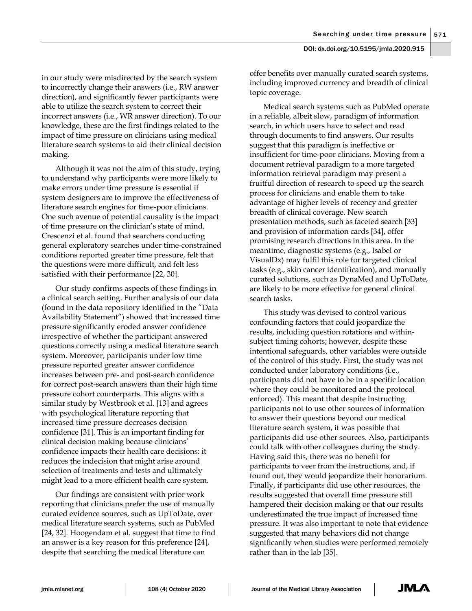in our study were misdirected by the search system to incorrectly change their answers (i.e., RW answer direction), and significantly fewer participants were able to utilize the search system to correct their incorrect answers (i.e., WR answer direction). To our knowledge, these are the first findings related to the impact of time pressure on clinicians using medical literature search systems to aid their clinical decision making.

Although it was not the aim of this study, trying to understand why participants were more likely to make errors under time pressure is essential if system designers are to improve the effectiveness of literature search engines for time-poor clinicians. One such avenue of potential causality is the impact of time pressure on the clinician's state of mind. Crescenzi et al. found that searchers conducting general exploratory searches under time-constrained conditions reported greater time pressure, felt that the questions were more difficult, and felt less satisfied with their performance [22, 30].

Our study confirms aspects of these findings in a clinical search setting. Further analysis of our data (found in the data repository identified in the "Data Availability Statement") showed that increased time pressure significantly eroded answer confidence irrespective of whether the participant answered questions correctly using a medical literature search system. Moreover, participants under low time pressure reported greater answer confidence increases between pre- and post-search confidence for correct post-search answers than their high time pressure cohort counterparts. This aligns with a similar study by Westbrook et al. [13] and agrees with psychological literature reporting that increased time pressure decreases decision confidence [31]. This is an important finding for clinical decision making because clinicians' confidence impacts their health care decisions: it reduces the indecision that might arise around selection of treatments and tests and ultimately might lead to a more efficient health care system.

Our findings are consistent with prior work reporting that clinicians prefer the use of manually curated evidence sources, such as UpToDate, over medical literature search systems, such as PubMed [24, 32]. Hoogendam et al. suggest that time to find an answer is a key reason for this preference [24], despite that searching the medical literature can

offer benefits over manually curated search systems, including improved currency and breadth of clinical topic coverage.

Medical search systems such as PubMed operate in a reliable, albeit slow, paradigm of information search, in which users have to select and read through documents to find answers. Our results suggest that this paradigm is ineffective or insufficient for time-poor clinicians. Moving from a document retrieval paradigm to a more targeted information retrieval paradigm may present a fruitful direction of research to speed up the search process for clinicians and enable them to take advantage of higher levels of recency and greater breadth of clinical coverage. New search presentation methods, such as faceted search [33] and provision of information cards [34], offer promising research directions in this area. In the meantime, diagnostic systems (e.g., Isabel or VisualDx) may fulfil this role for targeted clinical tasks (e.g., skin cancer identification), and manually curated solutions, such as DynaMed and UpToDate, are likely to be more effective for general clinical search tasks.

This study was devised to control various confounding factors that could jeopardize the results, including question rotations and withinsubject timing cohorts; however, despite these intentional safeguards, other variables were outside of the control of this study. First, the study was not conducted under laboratory conditions (i.e., participants did not have to be in a specific location where they could be monitored and the protocol enforced). This meant that despite instructing participants not to use other sources of information to answer their questions beyond our medical literature search system, it was possible that participants did use other sources. Also, participants could talk with other colleagues during the study. Having said this, there was no benefit for participants to veer from the instructions, and, if found out, they would jeopardize their honorarium. Finally, if participants did use other resources, the results suggested that overall time pressure still hampered their decision making or that our results underestimated the true impact of increased time pressure. It was also important to note that evidence suggested that many behaviors did not change significantly when studies were performed remotely rather than in the lab [35].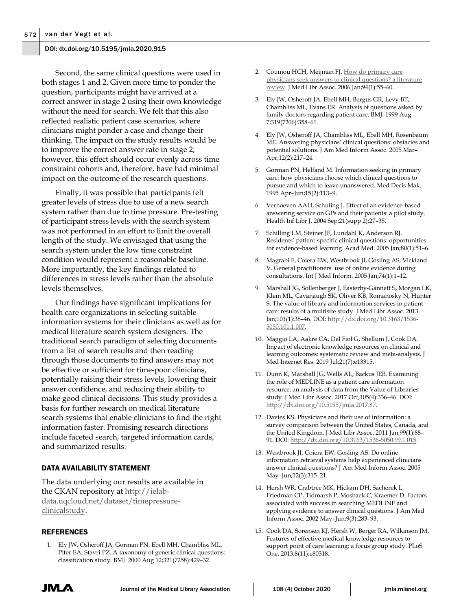Second, the same clinical questions were used in both stages 1 and 2. Given more time to ponder the question, participants might have arrived at a correct answer in stage 2 using their own knowledge without the need for search. We felt that this also reflected realistic patient case scenarios, where clinicians might ponder a case and change their thinking. The impact on the study results would be to improve the correct answer rate in stage 2; however, this effect should occur evenly across time constraint cohorts and, therefore, have had minimal impact on the outcome of the research questions.

Finally, it was possible that participants felt greater levels of stress due to use of a new search system rather than due to time pressure. Pre-testing of participant stress levels with the search system was not performed in an effort to limit the overall length of the study. We envisaged that using the search system under the low time constraint condition would represent a reasonable baseline. More importantly, the key findings related to differences in stress levels rather than the absolute levels themselves.

Our findings have significant implications for health care organizations in selecting suitable information systems for their clinicians as well as for medical literature search system designers. The traditional search paradigm of selecting documents from a list of search results and then reading through those documents to find answers may not be effective or sufficient for time-poor clinicians, potentially raising their stress levels, lowering their answer confidence, and reducing their ability to make good clinical decisions. This study provides a basis for further research on medical literature search systems that enable clinicians to find the right information faster. Promising research directions include faceted search, targeted information cards, and summarized results.

# DATA AVAILABILITY STATEMENT

The data underlying our results are available in the CKAN repository at [http://ielab](http://ielab-data.uqcloud.net/dataset/timepressure-clinicalstudy)[data.uqcloud.net/dataset/timepressure](http://ielab-data.uqcloud.net/dataset/timepressure-clinicalstudy)[clinicalstudy.](http://ielab-data.uqcloud.net/dataset/timepressure-clinicalstudy)

#### REFERENCES

1. Ely JW, Osheroff JA, Gorman PN, Ebell MH, Chambliss ML, Pifer EA, Stavri PZ. A taxonomy of generic clinical questions: classification study. BMJ. 2000 Aug 12;321(7258):429–32.

- 2. Coumou HCH, Meijman FJ. How do primary care [physicians seek answers to clinical questions? a literature](https://www.ncbi.nlm.nih.gov/pmc/articles/PMC1324772/)  [review.](https://www.ncbi.nlm.nih.gov/pmc/articles/PMC1324772/) J Med Libr Assoc. 2006 Jan;94(1):55–60.
- 3. Ely JW, Osheroff JA, Ebell MH, Bergus GR, Levy BT, Chambliss ML, Evans ER. Analysis of questions asked by family doctors regarding patient care. BMJ. 1999 Aug 7;319(7206):358–61.
- 4. Ely JW, Osheroff JA, Chambliss ML, Ebell MH, Rosenbaum ME. Answering physicians' clinical questions: obstacles and potential solutions. J Am Med Inform Assoc. 2005 Mar– Apr;12(2):217–24.
- 5. Gorman PN, Helfand M. Information seeking in primary care: how physicians choose which clinical questions to pursue and which to leave unanswered. Med Decis Mak. 1995 Apr–Jun;15(2):113–9.
- 6. Verhoeven AAH, Schuling J. Effect of an evidence-based answering service on GPs and their patients: a pilot study. Health Inf Libr J. 2004 Sep;21(supp 2):27–35.
- 7. Schilling LM, Steiner JF, Lundahl K, Anderson RJ. Residents' patient-specific clinical questions: opportunities for evidence-based learning. Acad Med. 2005 Jan;80(1):51–6.
- 8. Magrabi F, Coiera EW, Westbrook JI, Gosling AS, Vickland V. General practitioners' use of online evidence during consultations. Int J Med Inform. 2005 Jan;74(1):1–12.
- 9. Marshall JG, Sollenberger J, Easterby-Gannett S, Morgan LK, Klem ML, Cavanaugh SK, Oliver KB, Romanosky N, Hunter S. The value of library and information services in patient care: results of a multisite study. J Med Libr Assoc. 2013 Jan;101(1):38–46. DOI[: http://dx.doi.org/10.3163/1536-](http://dx.doi.org/10.3163/1536-5050.101.1.007) [5050.101.1.007.](http://dx.doi.org/10.3163/1536-5050.101.1.007)
- 10. Maggio LA, Aakre CA, Del Fiol G, Shellum J, Cook DA. Impact of electronic knowledge resources on clinical and learning outcomes: systematic review and meta-analysis. J Med Internet Res. 2019 Jul;21(7):e13315.
- 11. Dunn K, Marshall JG, Wells AL, Backus JEB. Examining the role of MEDLINE as a patient care information resource: an analysis of data from the Value of Libraries study. J Med Libr Assoc. 2017 Oct;105(4):336–46. DOI: [http://dx.doi.org/10.5195/jmla.2017.87.](http://dx.doi.org/10.5195/jmla.2017.87)
- 12. Davies KS. Physicians and their use of information: a survey comparison between the United States, Canada, and the United Kingdom. J Med Libr Assoc. 2011 Jan;99(1):88– 91. DOI: [http://dx.doi.org/10.3163/1536-5050.99.1.015.](http://dx.doi.org/10.3163/1536-5050.99.1.015)
- 13. Westbrook JI, Coiera EW, Gosling AS. Do online information retrieval systems help experienced clinicians answer clinical questions? J Am Med Inform Assoc. 2005 May–Jun;12(3):315–21.
- 14. Hersh WR, Crabtree MK, Hickam DH, Sacherek L, Friedman CP, Tidmarsh P, Mosbaek C, Kraemer D. Factors associated with success in searching MEDLINE and applying evidence to answer clinical questions. J Am Med Inform Assoc. 2002 May–Jun;9(3):283–93.
- 15. Cook DA, Sorensen KJ, Hersh W, Berger RA, Wilkinson JM. Features of effective medical knowledge resources to support point of care learning: a focus group study. PLoS One. 2013;8(11):e80318.